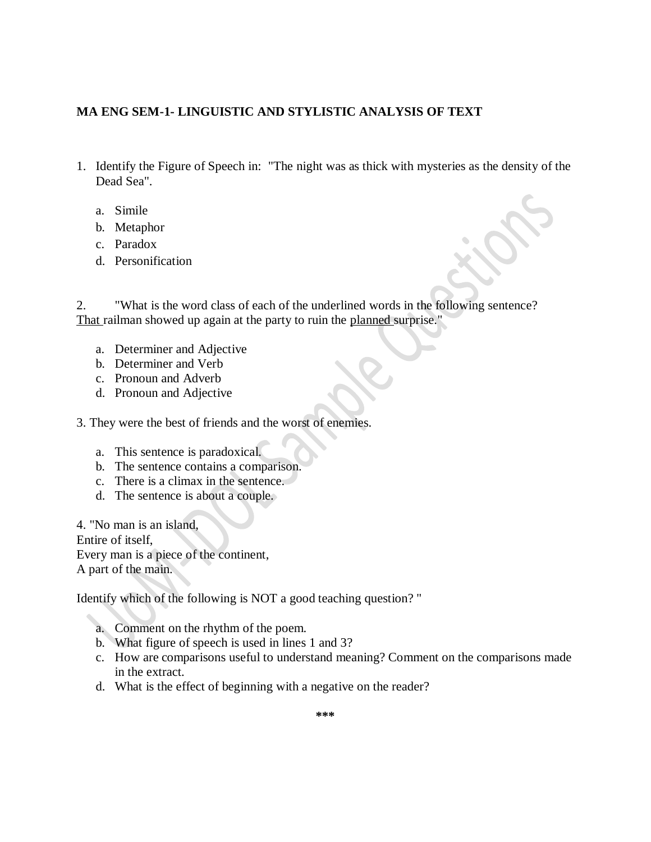## **MA ENG SEM-1- LINGUISTIC AND STYLISTIC ANALYSIS OF TEXT**

- 1. Identify the Figure of Speech in: "The night was as thick with mysteries as the density of the Dead Sea".
	- a. Simile
	- b. Metaphor
	- c. Paradox
	- d. Personification

2. "What is the word class of each of the underlined words in the following sentence? That railman showed up again at the party to ruin the planned surprise."

- a. Determiner and Adjective
- b. Determiner and Verb
- c. Pronoun and Adverb
- d. Pronoun and Adjective
- 3. They were the best of friends and the worst of enemies.
	- a. This sentence is paradoxical.
	- b. The sentence contains a comparison.
	- c. There is a climax in the sentence.
	- d. The sentence is about a couple.

4. "No man is an island, Entire of itself, Every man is a piece of the continent, A part of the main.

Identify which of the following is NOT a good teaching question? "

- a. Comment on the rhythm of the poem.
- b. What figure of speech is used in lines 1 and 3?
- c. How are comparisons useful to understand meaning? Comment on the comparisons made in the extract.
- d. What is the effect of beginning with a negative on the reader?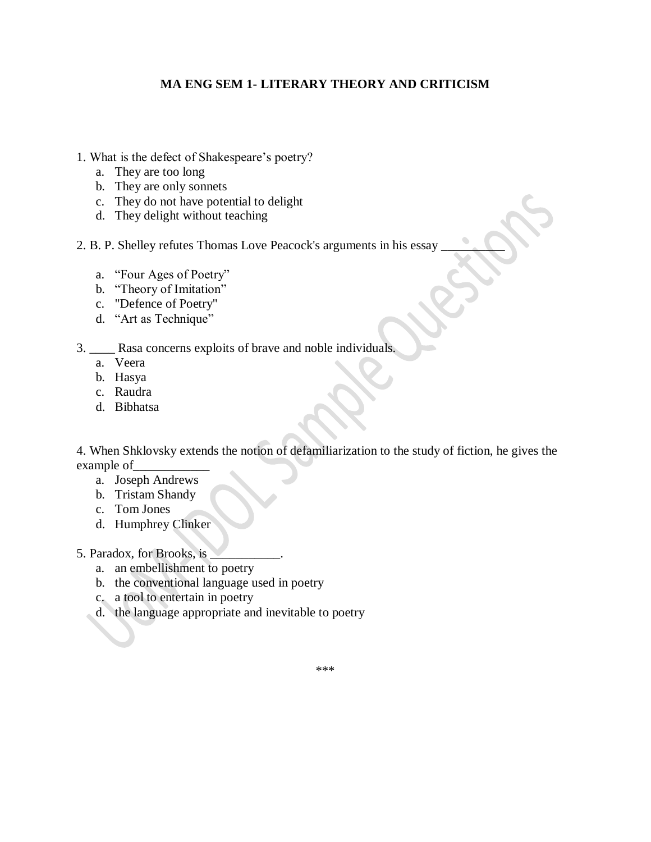## **MA ENG SEM 1- LITERARY THEORY AND CRITICISM**

- 1. What is the defect of Shakespeare's poetry?
	- a. They are too long
	- b. They are only sonnets
	- c. They do not have potential to delight
	- d. They delight without teaching
- 2. B. P. Shelley refutes Thomas Love Peacock's arguments in his essay
	- a. "Four Ages of Poetry"
	- b. "Theory of Imitation"
	- c. "Defence of Poetry"
	- d. "Art as Technique"
- 3. \_\_\_\_ Rasa concerns exploits of brave and noble individuals.
	- a. Veera
	- b. Hasya
	- c. Raudra
	- d. Bibhatsa

4. When Shklovsky extends the notion of defamiliarization to the study of fiction, he gives the example of

- a. Joseph Andrews
- b. Tristam Shandy
- c. Tom Jones
- d. Humphrey Clinker
- 5. Paradox, for Brooks, is
	- a. an embellishment to poetry
	- b. the conventional language used in poetry
	- c. a tool to entertain in poetry
	- d. the language appropriate and inevitable to poetry

\*\*\*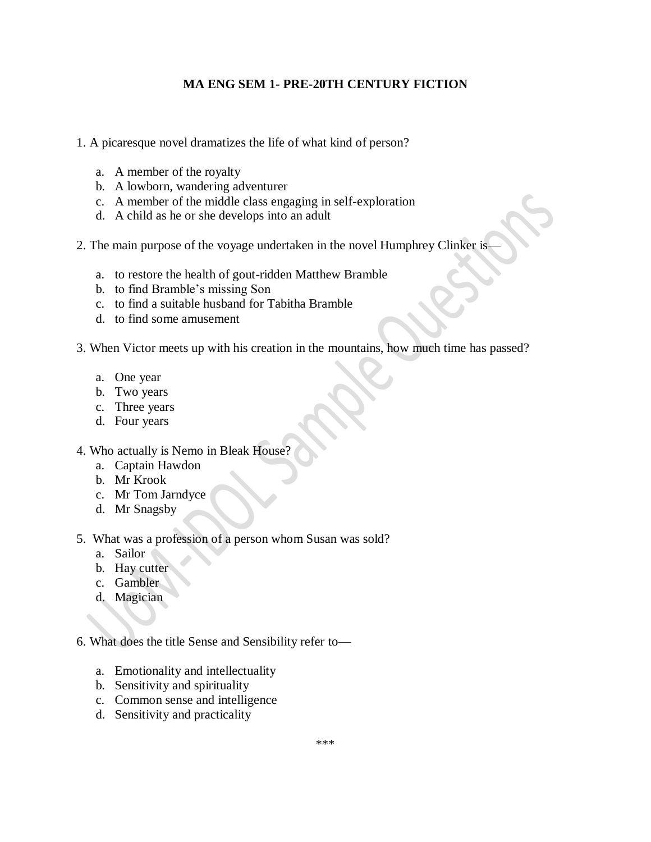## **MA ENG SEM 1- PRE-20TH CENTURY FICTION**

- 1. A picaresque novel dramatizes the life of what kind of person?
	- a. A member of the royalty
	- b. A lowborn, wandering adventurer
	- c. A member of the middle class engaging in self-exploration
	- d. A child as he or she develops into an adult
- 2. The main purpose of the voyage undertaken in the novel Humphrey Clinker is
	- a. to restore the health of gout-ridden Matthew Bramble
	- b. to find Bramble's missing Son
	- c. to find a suitable husband for Tabitha Bramble
	- d. to find some amusement
- 3. When Victor meets up with his creation in the mountains, how much time has passed?
	- a. One year
	- b. Two years
	- c. Three years
	- d. Four years
- 4. Who actually is Nemo in Bleak House?
	- a. Captain Hawdon
	- b. Mr Krook
	- c. Mr Tom Jarndyce
	- d. Mr Snagsby
- 5. What was a profession of a person whom Susan was sold?
	- a. Sailor
	- b. Hay cutter
	- c. Gambler
	- d. Magician
- 6. What does the title Sense and Sensibility refer to
	- a. Emotionality and intellectuality
	- b. Sensitivity and spirituality
	- c. Common sense and intelligence
	- d. Sensitivity and practicality